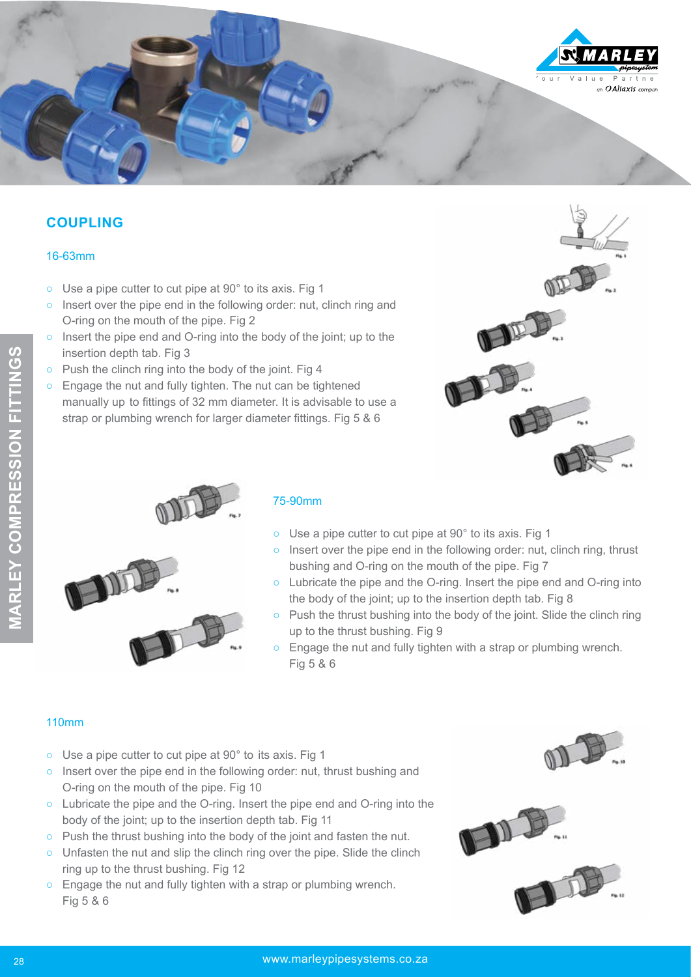

## **COUPLING**

### 16-63mm

- Use a pipe cutter to cut pipe at 90° to its axis. Fig 1
- o Insert over the pipe end in the following order: nut, clinch ring and O-ring on the mouth of the pipe. Fig 2
- Insert the pipe end and O-ring into the body of the joint; up to the insertion depth tab. Fig 3
- Push the clinch ring into the body of the joint. Fig 4
- Engage the nut and fully tighten. The nut can be tightened manually up to fittings of 32 mm diameter. It is advisable to use a strap or plumbing wrench for larger diameter fittings. Fig 5 & 6





### 75-90mm

- Use a pipe cutter to cut pipe at 90° to its axis. Fig 1
- o Insert over the pipe end in the following order: nut, clinch ring, thrust bushing and O-ring on the mouth of the pipe. Fig 7
- Lubricate the pipe and the O-ring. Insert the pipe end and O-ring into the body of the joint; up to the insertion depth tab. Fig 8
- Push the thrust bushing into the body of the joint. Slide the clinch ring up to the thrust bushing. Fig 9
- $\circ$  Engage the nut and fully tighten with a strap or plumbing wrench. Fig 5 & 6

### 110mm

- Use a pipe cutter to cut pipe at 90° to its axis. Fig 1
- Insert over the pipe end in the following order: nut, thrust bushing and O-ring on the mouth of the pipe. Fig 10
- Lubricate the pipe and the O-ring. Insert the pipe end and O-ring into the body of the joint; up to the insertion depth tab. Fig 11
- Push the thrust bushing into the body of the joint and fasten the nut.
- Unfasten the nut and slip the clinch ring over the pipe. Slide the clinch ring up to the thrust bushing. Fig 12
- Engage the nut and fully tighten with a strap or plumbing wrench. Fig 5 & 6



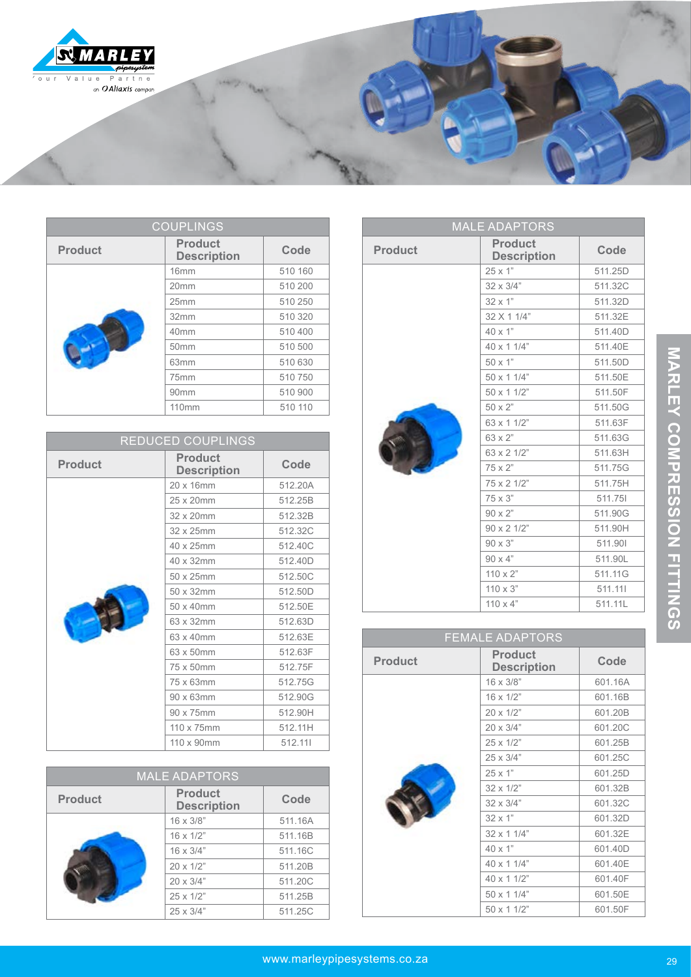

| <b>COUPLINGS</b> |                                      |         |
|------------------|--------------------------------------|---------|
| <b>Product</b>   | <b>Product</b><br><b>Description</b> | Code    |
|                  | 16 <sub>mm</sub>                     | 510 160 |
|                  | 20mm                                 | 510 200 |
|                  | 25mm                                 | 510 250 |
|                  | 32mm                                 | 510 320 |
|                  | 40mm                                 | 510 400 |
|                  | 50mm                                 | 510 500 |
|                  | 63mm                                 | 510 630 |
|                  | 75mm                                 | 510 750 |
|                  | 90 <sub>mm</sub>                     | 510 900 |
|                  | <b>110mm</b>                         | 510 110 |

| REDUCED COUPLINGS |                                      |         |
|-------------------|--------------------------------------|---------|
| <b>Product</b>    | <b>Product</b><br><b>Description</b> | Code    |
|                   | 20 x 16mm                            | 512.20A |
|                   | 25 x 20mm                            | 512.25B |
|                   | 32 x 20mm                            | 512.32B |
|                   | 32 x 25mm                            | 512.32C |
|                   | 40 x 25mm                            | 512.40C |
|                   | 40 x 32mm                            | 512.40D |
|                   | 50 x 25mm                            | 512.50C |
|                   | 50 x 32mm                            | 512.50D |
|                   | 50 x 40mm                            | 512.50E |
|                   | 63 x 32mm                            | 512.63D |
|                   | 63 x 40mm                            | 512.63E |
|                   | 63 x 50mm                            | 512.63F |
|                   | 75 x 50mm                            | 512.75F |
|                   | 75 x 63mm                            | 512.75G |
|                   | 90 x 63mm                            | 512.90G |
|                   | 90 x 75mm                            | 512.90H |
|                   | 110 x 75mm                           | 512.11H |
|                   | 110 x 90mm                           | 512.111 |

| <b>MALE ADAPTORS</b> |                                      |         |
|----------------------|--------------------------------------|---------|
| <b>Product</b>       | <b>Product</b><br><b>Description</b> | Code    |
|                      | $16 \times 3/8$ "                    | 511.16A |
|                      | $16 \times 1/2$ "                    | 511.16B |
|                      | $16 \times 3/4"$                     | 511.16C |
|                      | $20 \times 1/2$ "                    | 511.20B |
|                      | $20 \times 3/4"$                     | 511.20C |
|                      | $25 \times 1/2$ "                    | 511.25B |
|                      | $25 \times 3/4"$                     | 511.25C |

| <b>MALE ADAPTORS</b> |                                      |         |
|----------------------|--------------------------------------|---------|
| <b>Product</b>       | <b>Product</b><br><b>Description</b> | Code    |
|                      | 25 x 1"                              | 511.25D |
|                      | $32 \times 3/4"$                     | 511.32C |
|                      | $32 \times 1"$                       | 511.32D |
|                      | 32 X 1 1/4"                          | 511.32E |
|                      | $40 \times 1"$                       | 511.40D |
|                      | 40 x 1 1/4"                          | 511.40E |
|                      | 50 x 1"                              | 511.50D |
|                      | 50 x 1 1/4"                          | 511.50E |
|                      | 50 x 1 1/2"                          | 511.50F |
|                      | 50 x 2"                              | 511.50G |
|                      | 63 x 1 1/2"                          | 511.63F |
|                      | 63 x 2"                              | 511.63G |
|                      | 63 x 2 1/2"                          | 511.63H |
|                      | 75 x 2"                              | 511.75G |
|                      | 75 x 2 1/2"                          | 511.75H |
|                      | 75 x 3"                              | 511.751 |
|                      | $90 \times 2"$                       | 511.90G |
|                      | $90 \times 2$ 1/2"                   | 511.90H |
|                      | $90 \times 3"$                       | 511.901 |
|                      | $90 \times 4"$                       | 511.90L |
|                      | $110 \times 2$ "                     | 511.11G |
|                      | $110 \times 2$                       | E44411  |

110 x 3" 511.11| 110 x 4" 511.11L

| <b>FEMALE ADAPTORS</b> |                                      |         |
|------------------------|--------------------------------------|---------|
| <b>Product</b>         | <b>Product</b><br><b>Description</b> | Code    |
|                        | 16 x 3/8"                            | 601.16A |
|                        | $16 \times 1/2$ "                    | 601.16B |
|                        | 20 x 1/2"                            | 601.20B |
|                        | $20 \times 3/4"$                     | 601.20C |
|                        | $25 \times 1/2$ "                    | 601.25B |
|                        | $25 \times 3/4"$                     | 601.25C |
|                        | $25 \times 1"$                       | 601.25D |
|                        | $32 \times 1/2$ "                    | 601.32B |
|                        | $32 \times 3/4"$                     | 601.32C |
|                        | $32 \times 1"$                       | 601.32D |
|                        | $32 \times 11/4$ "                   | 601.32E |
|                        | 40 x 1"                              | 601.40D |
|                        | 40 x 1 1/4"                          | 601.40E |
|                        | 40 x 1 1/2"                          | 601.40F |
|                        | 50 x 1 1/4"                          | 601.50E |
|                        | 50 x 1 1/2"                          | 601.50F |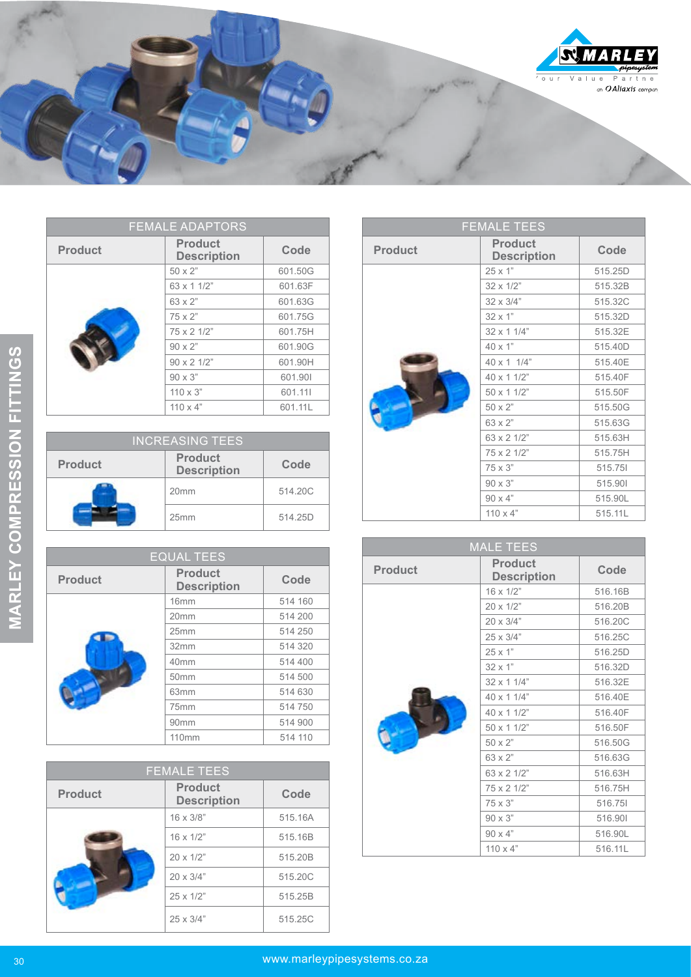

| <b>FEMALE ADAPTORS</b> |                                      |         |
|------------------------|--------------------------------------|---------|
| <b>Product</b>         | <b>Product</b><br><b>Description</b> | Code    |
|                        | $50 \times 2"$                       | 601.50G |
|                        | 63 x 1 1/2"                          | 601.63F |
|                        | 63 x 2"                              | 601.63G |
|                        | $75 \times 2"$                       | 601.75G |
|                        | 75 x 2 1/2"                          | 601.75H |
|                        | $90 \times 2"$                       | 601.90G |
|                        | $90 \times 21/2$ "                   | 601.90H |
|                        | $90 \times 3"$                       | 601.901 |
|                        | $110 \times 3$ "                     | 601.111 |
|                        | $110 \times 4$ "                     | 601.11L |

| <b>INCREASING TEES</b> |                                      |         |
|------------------------|--------------------------------------|---------|
| <b>Product</b>         | <b>Product</b><br><b>Description</b> | Code    |
|                        | 20 <sub>mm</sub>                     | 514.20C |
|                        | 25mm                                 | 514.25D |

|                | シロ ハ ム                               | 00 1.900                    |
|----------------|--------------------------------------|-----------------------------|
|                | 90 x 2 1/2"                          | 601.90H                     |
|                | 90 x 3"                              | 601.901                     |
|                | $110 \times 3"$                      | 601.111                     |
|                | $110 \times 4"$                      | 601.11L                     |
|                |                                      |                             |
|                | <b>INCREASING TEES</b>               |                             |
| <b>Product</b> | <b>Product</b><br><b>Description</b> | Code                        |
|                | 20 <sub>mm</sub>                     | 514.20C                     |
|                | 25mm                                 | 514.25D                     |
|                | <b>EQUAL TEES</b>                    |                             |
|                |                                      |                             |
| <b>Product</b> | <b>Product</b><br><b>Description</b> | Code                        |
|                | 16mm                                 | 514 160                     |
|                | 20mm                                 | 514 200                     |
|                | 25mm                                 | 514 250                     |
|                | 32mm                                 | 514 320                     |
|                | 40 <sub>mm</sub>                     | 514 400                     |
|                | 50mm                                 | 514 500                     |
|                | 63mm                                 | 514 630                     |
|                | 75mm                                 | 514 750                     |
|                | 90mm                                 | 514 900                     |
|                | 110mm                                | 514 110                     |
|                | <b>FEMALE TEES</b>                   |                             |
|                | <b>Product</b>                       |                             |
| <b>Product</b> | <b>Description</b>                   | Code                        |
|                | 16 x 3/8"                            | 515.16A                     |
|                | 16 x 1/2"                            | 515.16B                     |
|                | 20 x 1/2"                            | 515.20B                     |
|                | 20 x 3/4"                            | 515.20C                     |
|                | 25 x 1/2"                            | 515.25B                     |
|                | 25 x 3/4"                            | 515.25C                     |
| <u>er</u>      |                                      | www.marleypipesystems.co.za |

| <b>FEMALE TEES</b> |                                      |         |
|--------------------|--------------------------------------|---------|
| <b>Product</b>     | <b>Product</b><br><b>Description</b> | Code    |
|                    | $16 \times 3/8$ "                    | 515.16A |
|                    | $16 \times 1/2$ "                    | 515.16B |
|                    | $20 \times 1/2$ "                    | 515.20B |
|                    | $20 \times 3/4"$                     | 515,20C |
|                    | $25 \times 1/2$ "                    | 515.25B |
|                    | $25 \times 3/4"$                     | 515.25C |

| <b>FEMALE TEES</b> |                                      |         |
|--------------------|--------------------------------------|---------|
| <b>Product</b>     | <b>Product</b><br><b>Description</b> | Code    |
|                    | $25 \times 1"$                       | 515.25D |
|                    | $32 \times 1/2$ "                    | 515.32B |
|                    | $32 \times 3/4"$                     | 515.32C |
|                    | $32 \times 1"$                       | 515.32D |
|                    | $32 \times 11/4$ "                   | 515.32E |
|                    | $40 \times 1"$                       | 515.40D |
|                    | 40 x 1 1/4"                          | 515.40E |
|                    | 40 x 1 1/2"                          | 515.40F |
|                    | 50 x 1 1/2"                          | 515.50F |
|                    | 50 x 2"                              | 515.50G |
|                    | 63 x 2"                              | 515.63G |
|                    | 63 x 2 1/2"                          | 515.63H |
|                    | 75 x 2 1/2"                          | 515.75H |
|                    | 75 x 3"                              | 515.751 |
|                    | $90 \times 3"$                       | 515.901 |
|                    | $90 \times 4"$                       | 515.90L |
|                    | $110 \times 4$ "                     | 515.11L |

| <b>MALE TEES</b> |                                      |         |
|------------------|--------------------------------------|---------|
| <b>Product</b>   | <b>Product</b><br><b>Description</b> | Code    |
|                  | $16 \times 1/2$ "                    | 516.16B |
|                  | $20 \times 1/2$ "                    | 516.20B |
|                  | $20 \times 3/4"$                     | 516.20C |
|                  | $25 \times 3/4"$                     | 516.25C |
|                  | 25 x 1"                              | 516.25D |
|                  | $32 \times 1"$                       | 516.32D |
|                  | 32 x 1 1/4"                          | 516.32E |
|                  | 40 x 1 1/4"                          | 516.40E |
|                  | $40 \times 11/2$ "                   | 516.40F |
|                  | 50 x 1 1/2"                          | 516.50F |
|                  | 50 x 2"                              | 516.50G |
|                  | 63 x 2"                              | 516.63G |
|                  | 63 x 2 1/2"                          | 516.63H |
|                  | 75 x 2 1/2"                          | 516.75H |
|                  | $75 \times 3"$                       | 516.751 |
|                  | 90 x 3"                              | 516.901 |
|                  | $90 \times 4"$                       | 516.90L |
|                  | $110 \times 4$ "                     | 516.11L |